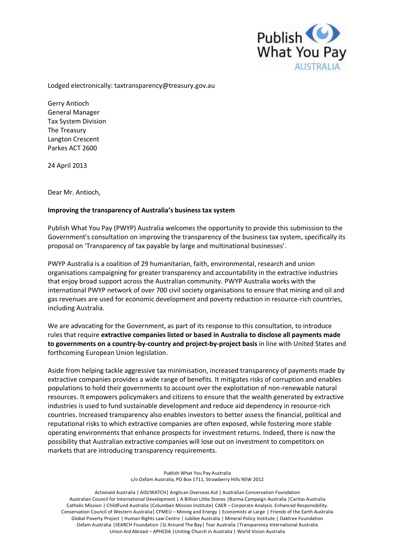

Lodged electronically: taxtransparency@treasury.gov.au

Gerry Antioch Gerry Antioch<br>General Manager Tax System Division The Treasury The Treasury<br>Langton Crescent Parkes ACT 2600

24 April 2013

Dear Mr. Antioch,

## Improving the transparency of Australia's business tax system

 Publish What You Pay (PWYP) Australia welcomes the opportunity to provide this submission to the Government's consultation on improving the transparency of the business tax system, specifically its proposal on 'Transparency of tax payable by large and multinational businesses'.

 PWYP Australia is a coalition of 29 humanitarian, faith, environmental, research and union organisations campaigning for greater transparency and accountability in the extractive industries that enjoy broad support across the Australian community. PWYP Australia works with the international PWYP network of over 700 civil society organisations to ensure that mining and oil and gas revenues are used for economic development and poverty reduction in resource-rich countries, including Australia.

 We are advocating for the Government, as part of its response to this consultation, to introduce  rules that require **extractive companies listed or based in Australia to disclose all payments made to governments on a country-by-country and project-by-project basis** in line with United States and forthcoming European Union legislation.

 Aside from helping tackle aggressive tax minimisation, increased transparency of payments made by extractive companies provides a wide range of benefits. It mitigates risks of corruption and enables populations to hold their governments to account over the exploitation of non-renewable natural resources. It empowers policymakers and citizens to ensure that the wealth generated by extractive industries is used to fund sustainable development and reduce aid dependency in resource-rich countries. Increased transparency also enables investors to better assess the financial, political and reputational risks to which extractive companies are often exposed, while fostering more stable operating environments that enhance prospects for investment returns. Indeed, there is now the possibility that Australian extractive companies will lose out on investment to competitors on markets that are introducing transparency requirements.

> Publish What You Pay Australia c/o Oxfam Australia, PO Box 1711, Strawberry Hills NSW 2012

 Actionaid Australia | AID/WATCH| Anglican Overseas Aid | Australian Conservation Foundation Australian Council for International Development | A Billion Little Stones |Burma Campaign Australia |Caritas Australia Catholic Mission | ChildFund Australia |Columban Mission Institute| CAER – Corporate Analysis. Enhanced Responsibility. Conservation Council of Western Australia| CFMEU – Mining and Energy | Economists at Large | Friends of the Earth Australia Global Poverty Project | Human Rights Law Centre | Jubilee Australia | Mineral Policy Institute | Oaktree Foundation Oxfam Australia |SEARCH Foundation |SJ Around The Bay| Tear Australia |Transparency International Australia Union Aid Abroad – APHEDA |Uniting Church in Australia | World Vision Australia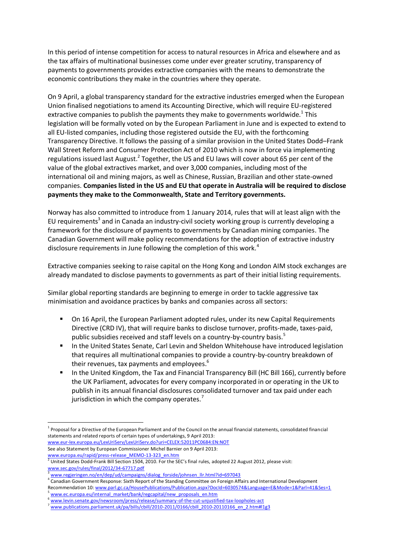In this period of intense competition for access to natural resources in Africa and elsewhere and as economic contributions they make in the countries where they operate. the tax affairs of multinational businesses come under ever greater scrutiny, transparency of payments to governments provides extractive companies with the means to demonstrate the

 On 9 April, a global transparency standard for the extractive industries emerged when the European Union finalised negotiations to amend its Accounting Directive, which will require EU-registered extractive companies to publish the payments they make to governments worldwide.<sup>1</sup> This legislation will be formally voted on by the European Parliament in June and is expected to extend to all EU-listed companies, including those registered outside the EU, with the forthcoming Transparency Directive. It follows the passing of a similar provision in the United States Dodd–Frank Wall Street Reform and Consumer Protection Act of 2010 which is now in force via implementing regulations issued last August.<sup>2</sup> Together, the US and EU laws will cover about 65 per cent of the value of the global extractives market, and over 3,000 companies, including most of the international oil and mining majors, as well as Chinese, Russian, Brazilian and other state-owned  companies. **Companies listed in the US and EU that operate in Australia will be required to disclose payments they make to the Commonwealth, State and Territory governments.** 

 Norway has also committed to introduce from 1 January 2014, rules that will at least align with the EU requirements<sup>3</sup> and in Canada an industry-civil society working group is currently developing a framework for the disclosure of payments to governments by Canadian mining companies. The Canadian Government will make policy recommendations for the adoption of extractive industry disclosure requirements in June following the completion of this work.<sup>4</sup>

 Extractive companies seeking to raise capital on the Hong Kong and London AIM stock exchanges are already mandated to disclose payments to governments as part of their initial listing requirements.

 Similar global reporting standards are beginning to emerge in order to tackle aggressive tax minimisation and avoidance practices by banks and companies across all sectors:

- **DRET 16 April, the European Parliament adopted rules, under its new Capital Requirements**  Directive (CRD IV), that will require banks to disclose turnover, profits-made, taxes-paid, public subsidies received and staff levels on a country-by-country basis.<sup>5</sup>
- **IF** In the United States Senate, Carl Levin and Sheldon Whitehouse have introduced legislation that requires all multinational companies to provide a country-by-country breakdown of their revenues, tax payments and employees.<sup>6</sup>
- **In the United Kingdom, the Tax and Financial Transparency Bill (HC Bill 166), currently before**  the UK Parliament, advocates for every company incorporated in or operating in the UK to publish in its annual financial disclosures consolidated turnover and tax paid under each jurisdiction in which the company operates.<sup>7</sup>

 See also Statement by European Commissioner Michel Barnier on 9 April 2013: [www.eur-lex.europa.eu/LexUriServ/LexUriServ.do?uri=CELEX:52011PC0684:EN:NOT](http://www.eur-lex.europa.eu/LexUriServ/LexUriServ.do?uri=CELEX:52011PC0684:EN:NOT) 

**<sup>.</sup>** <sup>1</sup> Proposal for a Directive of the European Parliament and of the Council on the annual financial statements, consolidated financial statements and related reports of certain types of undertakings, 9 April 2013:

www.europa.eu/rapid/press-release\_MEMO-13-323\_en.htm<br><sup>2</sup> United States Dodd-Frank Bill Section 1504, 2010. For the SEC's final rules, adopted 22 August 2012, please visit: [www.sec.gov/rules/final/2012/34-67717.pdf](http://www.sec.gov/rules/final/2012/34-67717.pdf) 

www.regjeringen.no/en/dep/ud/campaigns/dialog\_forside/johnsen\_llr.html?id=697043

 $^4$  Canadian Government Response: Sixth Report of the Standing Committee on Foreign Affairs and International Development Recommendation 10: www.parl.gc.ca/HousePublications/Publication.aspx?DocId=6030574&Language=E&Mode=1&Parl=41&Ses=1<br><sup>5</sup> www.ec.europa.eu/internal\_market/bank/regcapital/new\_proposals\_en.htm

<sup>6</sup> www.levin.senate.gov/newsroom/press/release/summary-of-the-cut-unjustified-tax-loopholes-act<br>7 www.publications.parliament.uk/pa/bills/cbill/2010-2011/0166/cbill\_2010-20110166\_en\_2.htm#l1g3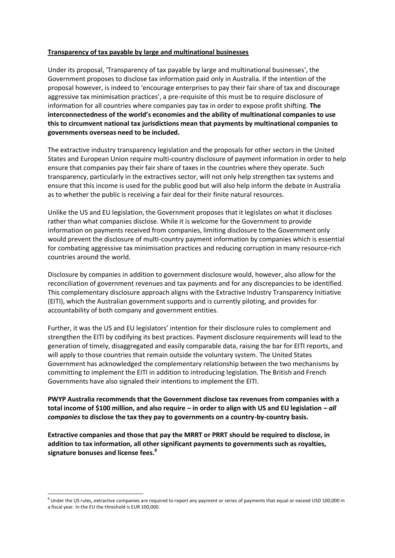## **Transparency of tax payable by large and multinational businesses**

 Under its proposal, 'Transparency of tax payable by large and multinational businesses', the Government proposes to disclose tax information paid only in Australia. If the intention of the proposal however, is indeed to 'encourage enterprises to pay their fair share of tax and discourage aggressive tax minimisation practices', a pre-requisite of this must be to require disclosure of information for all countries where companies pay tax in order to expose profit shifting. **The interconnectedness of the world's economies and the ability of multinational companies to use this to circumvent national tax jurisdictions mean that payments by multinational companies to governments overseas need to be included.** 

 The extractive industry transparency legislation and the proposals for other sectors in the United States and European Union require multi-country disclosure of payment information in order to help ensure that companies pay their fair share of taxes in the countries where they operate. Such transparency, particularly in the extractives sector, will not only help strengthen tax systems and ensure that this income is used for the public good but will also help inform the debate in Australia as to whether the public is receiving a fair deal for their finite natural resources.

 Unlike the US and EU legislation, the Government proposes that it legislates on what it discloses rather than what companies disclose. While it is welcome for the Government to provide information on payments received from companies, limiting disclosure to the Government only would prevent the disclosure of multi-country payment information by companies which is essential for combating aggressive tax minimisation practices and reducing corruption in many resource-rich countries around the world.

 Disclosure by companies in addition to government disclosure would, however, also allow for the reconciliation of government revenues and tax payments and for any discrepancies to be identified. This complementary disclosure approach aligns with the Extractive Industry Transparency Initiative (EITI), which the Australian government supports and is currently piloting, and provides for accountability of both company and government entities.

 Further, it was the US and EU legislators' intention for their disclosure rules to complement and strengthen the EITI by codifying its best practices. Payment disclosure requirements will lead to the generation of timely, disaggregated and easily comparable data, raising the bar for EITI reports, and will apply to those countries that remain outside the voluntary system. The United States committing to implement the EITI in addition to introducing legislation. The British and French Governments have also signaled their intentions to implement the EITI. Government has acknowledged the complementary relationship between the two mechanisms by

 **PWYP Australia recommends that the Government disclose tax revenues from companies with a total income of \$100 million, and also require – in order to align with US and EU legislation –** *all*   *companies* **to disclose the tax they pay to governments on a country-by-country basis.** 

 **Extractive companies and those that pay the MRRT or PRRT should be required to disclose, in addition to tax information, all other significant payments to governments such as royalties, signature bonuses and license fees.<sup>8</sup>**

**.** 

 $8$  Under the US rules, extractive companies are required to report any payment or series of payments that equal or exceed USD 100,000 in a fiscal year. In the EU the threshold is EUR 100,000.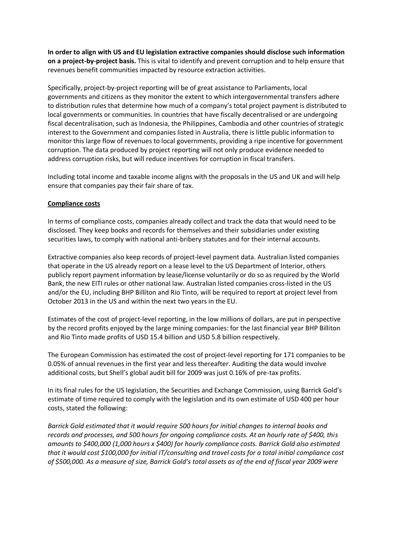**In order to align with US and EU legislation extractive companies should disclose such information on a project-by-project basis.** This is vital to identify and prevent corruption and to help ensure that revenues benefit communities impacted by resource extraction activities.

 Specifically, project-by-project reporting will be of great assistance to Parliaments, local governments and citizens as they monitor the extent to which intergovernmental transfers adhere to distribution rules that determine how much of a company's total project payment is distributed to local governments or communities. In countries that have fiscally decentralised or are undergoing fiscal decentralisation, such as Indonesia, the Philippines, Cambodia and other countries of strategic interest to the Government and companies listed in Australia, there is little public information to monitor this large flow of revenues to local governments, providing a ripe incentive for government corruption. The data produced by project reporting will not only produce evidence needed to address corruption risks, but will reduce incentives for corruption in fiscal transfers.

 Including total income and taxable income aligns with the proposals in the US and UK and will help ensure that companies pay their fair share of tax.

## **Compliance costs**

 In terms of compliance costs, companies already collect and track the data that would need to be disclosed. They keep books and records for themselves and their subsidiaries under existing securities laws, to comply with national anti-bribery statutes and for their internal accounts.

 Extractive companies also keep records of project-level payment data. Australian listed companies that operate in the US already report on a lease level to the US Department of Interior, others publicly report payment information by lease/license voluntarily or do so as required by the World Bank, the new EITI rules or other national law. Australian listed companies cross-listed in the US and/or the EU, including BHP Billiton and Rio Tinto, will be required to report at project level from October 2013 in the US and within the next two years in the EU.

 Estimates of the cost of project-level reporting, in the low millions of dollars, are put in perspective by the record profits enjoyed by the large mining companies: for the last financial year BHP Billiton and Rio Tinto made profits of USD 15.4 billion and USD 5.8 billion respectively.

 The European Commission has estimated the cost of project-level reporting for 171 companies to be 0.05% of annual revenues in the first year and less thereafter. Auditing the data would involve additional costs, but Shell's global audit bill for 2009 was just 0.16% of pre-tax profits.

 In its final rules for the US legislation, the Securities and Exchange Commission, using Barrick Gold's estimate of time required to comply with the legislation and its own estimate of USD 400 per hour costs, stated the following:

 *Barrick Gold estimated that it would require 500 hours for initial changes to internal books and records and processes, and 500 hours for ongoing compliance costs. At an hourly rate of \$400, this amounts to \$400,000 (1,000 hours x \$400) for hourly compliance costs. Barrick Gold also estimated that it would cost \$100,000 for initial IT/consulting and travel costs for a total initial compliance cost of \$500,000. !s a measure of size, Barrick Gold's total assets as of the end of fiscal year 2009 were*